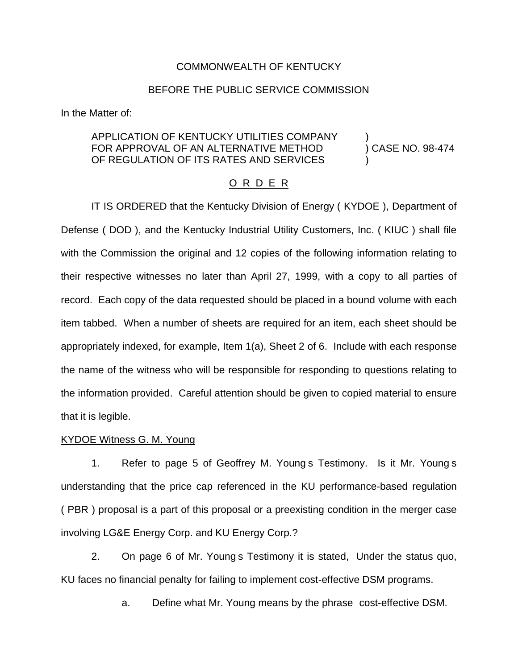# COMMONWEALTH OF KENTUCKY

# BEFORE THE PUBLIC SERVICE COMMISSION

In the Matter of:

# APPLICATION OF KENTUCKY UTILITIES COMPANY FOR APPROVAL OF AN ALTERNATIVE METHOD (CASE NO. 98-474 OF REGULATION OF ITS RATES AND SERVICES

# O R D E R

IT IS ORDERED that the Kentucky Division of Energy ( KYDOE ), Department of Defense ( DOD ), and the Kentucky Industrial Utility Customers, Inc. ( KIUC ) shall file with the Commission the original and 12 copies of the following information relating to their respective witnesses no later than April 27, 1999, with a copy to all parties of record. Each copy of the data requested should be placed in a bound volume with each item tabbed. When a number of sheets are required for an item, each sheet should be appropriately indexed, for example, Item 1(a), Sheet 2 of 6. Include with each response the name of the witness who will be responsible for responding to questions relating to the information provided. Careful attention should be given to copied material to ensure that it is legible.

# KYDOE Witness G. M. Young

1. Refer to page 5 of Geoffrey M. Young s Testimony. Is it Mr. Young s understanding that the price cap referenced in the KU performance-based regulation ( PBR ) proposal is a part of this proposal or a preexisting condition in the merger case involving LG&E Energy Corp. and KU Energy Corp.?

2. On page 6 of Mr. Young s Testimony it is stated, Under the status quo, KU faces no financial penalty for failing to implement cost-effective DSM programs.

a. Define what Mr. Young means by the phrase cost-effective DSM.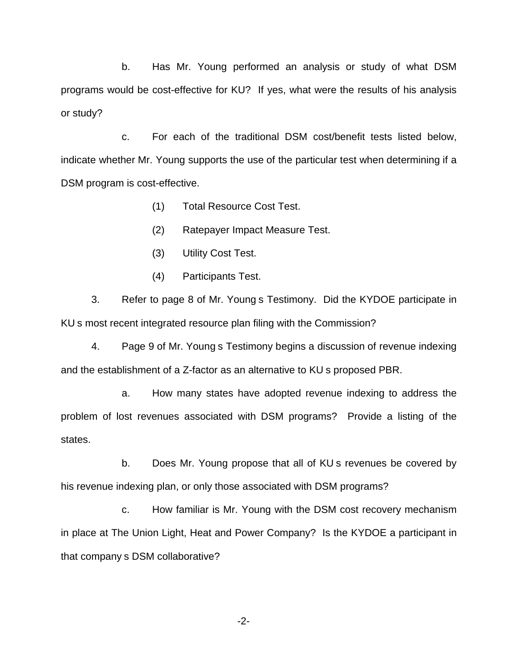b. Has Mr. Young performed an analysis or study of what DSM programs would be cost-effective for KU? If yes, what were the results of his analysis or study?

c. For each of the traditional DSM cost/benefit tests listed below, indicate whether Mr. Young supports the use of the particular test when determining if a DSM program is cost-effective.

- (1) Total Resource Cost Test.
- (2) Ratepayer Impact Measure Test.
- (3) Utility Cost Test.
- (4) Participants Test.

3. Refer to page 8 of Mr. Young s Testimony. Did the KYDOE participate in KU s most recent integrated resource plan filing with the Commission?

4. Page 9 of Mr. Young s Testimony begins a discussion of revenue indexing and the establishment of a Z-factor as an alternative to KU s proposed PBR.

a. How many states have adopted revenue indexing to address the problem of lost revenues associated with DSM programs? Provide a listing of the states.

b. Does Mr. Young propose that all of KU s revenues be covered by his revenue indexing plan, or only those associated with DSM programs?

c. How familiar is Mr. Young with the DSM cost recovery mechanism in place at The Union Light, Heat and Power Company? Is the KYDOE a participant in that company s DSM collaborative?

-2-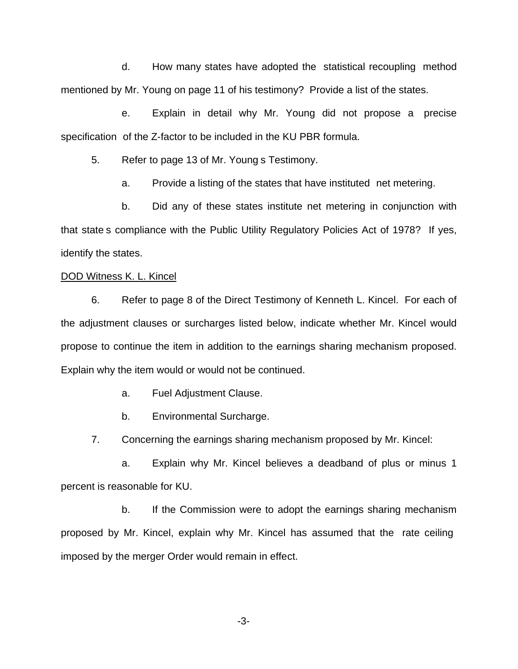d. How many states have adopted the statistical recoupling method mentioned by Mr. Young on page 11 of his testimony? Provide a list of the states.

e. Explain in detail why Mr. Young did not propose a precise specification of the Z-factor to be included in the KU PBR formula.

5. Refer to page 13 of Mr. Young s Testimony.

a. Provide a listing of the states that have instituted net metering.

b. Did any of these states institute net metering in conjunction with that state s compliance with the Public Utility Regulatory Policies Act of 1978? If yes, identify the states.

# DOD Witness K. L. Kincel

6. Refer to page 8 of the Direct Testimony of Kenneth L. Kincel. For each of the adjustment clauses or surcharges listed below, indicate whether Mr. Kincel would propose to continue the item in addition to the earnings sharing mechanism proposed. Explain why the item would or would not be continued.

- a. Fuel Adjustment Clause.
- b. Environmental Surcharge.
- 7. Concerning the earnings sharing mechanism proposed by Mr. Kincel:

a. Explain why Mr. Kincel believes a deadband of plus or minus 1 percent is reasonable for KU.

b. If the Commission were to adopt the earnings sharing mechanism proposed by Mr. Kincel, explain why Mr. Kincel has assumed that the rate ceiling imposed by the merger Order would remain in effect.

-3-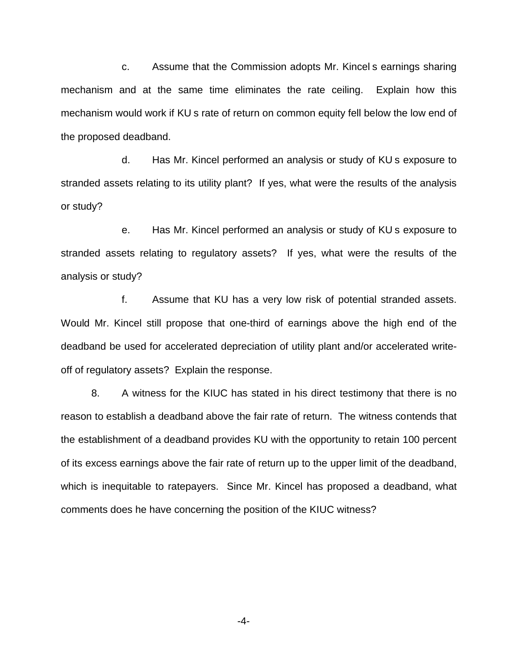c. Assume that the Commission adopts Mr. Kincel s earnings sharing mechanism and at the same time eliminates the rate ceiling. Explain how this mechanism would work if KU s rate of return on common equity fell below the low end of the proposed deadband.

d. Has Mr. Kincel performed an analysis or study of KU s exposure to stranded assets relating to its utility plant? If yes, what were the results of the analysis or study?

e. Has Mr. Kincel performed an analysis or study of KU s exposure to stranded assets relating to regulatory assets? If yes, what were the results of the analysis or study?

f. Assume that KU has a very low risk of potential stranded assets. Would Mr. Kincel still propose that one-third of earnings above the high end of the deadband be used for accelerated depreciation of utility plant and/or accelerated writeoff of regulatory assets? Explain the response.

8. A witness for the KIUC has stated in his direct testimony that there is no reason to establish a deadband above the fair rate of return. The witness contends that the establishment of a deadband provides KU with the opportunity to retain 100 percent of its excess earnings above the fair rate of return up to the upper limit of the deadband, which is inequitable to ratepayers. Since Mr. Kincel has proposed a deadband, what comments does he have concerning the position of the KIUC witness?

-4-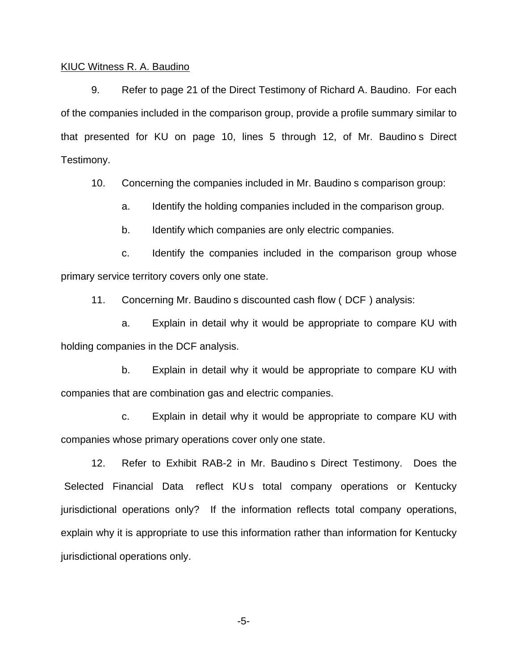#### KIUC Witness R. A. Baudino

9. Refer to page 21 of the Direct Testimony of Richard A. Baudino. For each of the companies included in the comparison group, provide a profile summary similar to that presented for KU on page 10, lines 5 through 12, of Mr. Baudino s Direct Testimony.

10. Concerning the companies included in Mr. Baudino s comparison group:

a. Identify the holding companies included in the comparison group.

b. Identify which companies are only electric companies.

c. Identify the companies included in the comparison group whose primary service territory covers only one state.

11. Concerning Mr. Baudino s discounted cash flow ( DCF ) analysis:

a. Explain in detail why it would be appropriate to compare KU with holding companies in the DCF analysis.

b. Explain in detail why it would be appropriate to compare KU with companies that are combination gas and electric companies.

c. Explain in detail why it would be appropriate to compare KU with companies whose primary operations cover only one state.

12. Refer to Exhibit RAB-2 in Mr. Baudino s Direct Testimony. Does the Selected Financial Data reflect KUs total company operations or Kentucky jurisdictional operations only? If the information reflects total company operations, explain why it is appropriate to use this information rather than information for Kentucky jurisdictional operations only.

-5-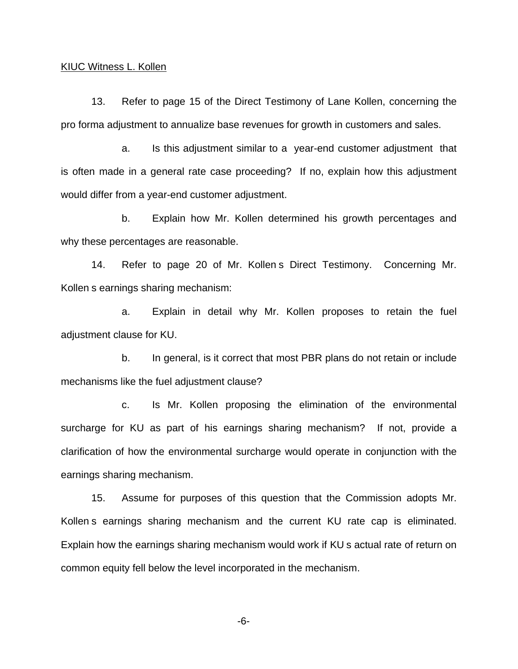### KIUC Witness L. Kollen

13. Refer to page 15 of the Direct Testimony of Lane Kollen, concerning the pro forma adjustment to annualize base revenues for growth in customers and sales.

a. Is this adjustment similar to a year-end customer adjustment that is often made in a general rate case proceeding? If no, explain how this adjustment would differ from a year-end customer adjustment.

b. Explain how Mr. Kollen determined his growth percentages and why these percentages are reasonable.

14. Refer to page 20 of Mr. Kollen s Direct Testimony. Concerning Mr. Kollen s earnings sharing mechanism:

a. Explain in detail why Mr. Kollen proposes to retain the fuel adjustment clause for KU.

b. In general, is it correct that most PBR plans do not retain or include mechanisms like the fuel adjustment clause?

c. Is Mr. Kollen proposing the elimination of the environmental surcharge for KU as part of his earnings sharing mechanism? If not, provide a clarification of how the environmental surcharge would operate in conjunction with the earnings sharing mechanism.

15. Assume for purposes of this question that the Commission adopts Mr. Kollen s earnings sharing mechanism and the current KU rate cap is eliminated. Explain how the earnings sharing mechanism would work if KU s actual rate of return on common equity fell below the level incorporated in the mechanism.

-6-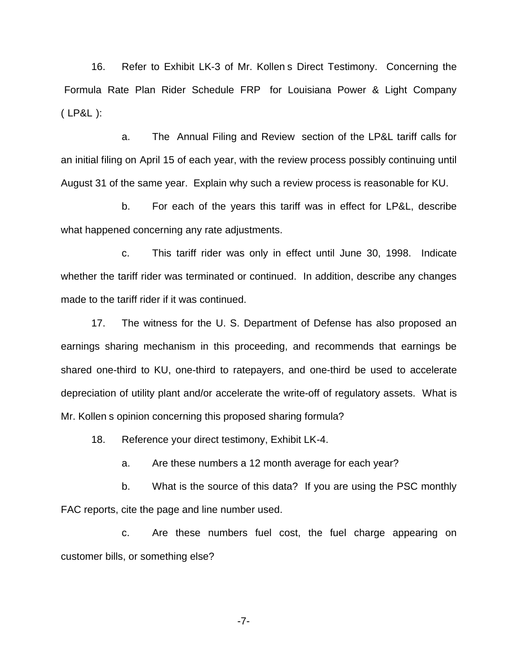16. Refer to Exhibit LK-3 of Mr. Kollen s Direct Testimony. Concerning the Formula Rate Plan Rider Schedule FRP for Louisiana Power & Light Company ( LP&L ):

a. The Annual Filing and Review section of the LP&L tariff calls for an initial filing on April 15 of each year, with the review process possibly continuing until August 31 of the same year. Explain why such a review process is reasonable for KU.

b. For each of the years this tariff was in effect for LP&L, describe what happened concerning any rate adjustments.

c. This tariff rider was only in effect until June 30, 1998. Indicate whether the tariff rider was terminated or continued. In addition, describe any changes made to the tariff rider if it was continued.

17. The witness for the U. S. Department of Defense has also proposed an earnings sharing mechanism in this proceeding, and recommends that earnings be shared one-third to KU, one-third to ratepayers, and one-third be used to accelerate depreciation of utility plant and/or accelerate the write-off of regulatory assets. What is Mr. Kollen s opinion concerning this proposed sharing formula?

18. Reference your direct testimony, Exhibit LK-4.

a. Are these numbers a 12 month average for each year?

b. What is the source of this data? If you are using the PSC monthly FAC reports, cite the page and line number used.

c. Are these numbers fuel cost, the fuel charge appearing on customer bills, or something else?

-7-